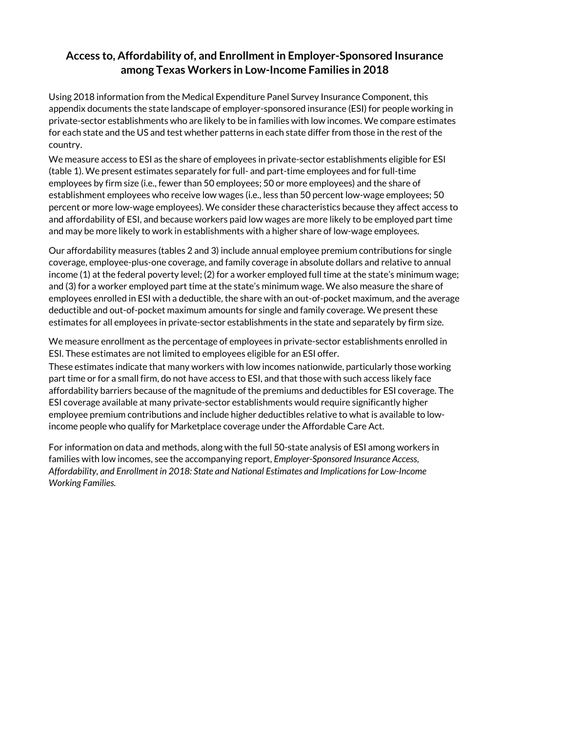# **Access to, Affordability of, and Enrollment in Employer-Sponsored Insurance among Texas Workers in Low-Income Families in 2018**

Using 2018 information from the Medical Expenditure Panel Survey Insurance Component, this appendix documents the state landscape of employer-sponsored insurance (ESI) for people working in private-sector establishments who are likely to be in families with low incomes. We compare estimates for each state and the US and test whether patterns in each state differ from those in the rest of the country.

We measure access to ESI as the share of employees in private-sector establishments eligible for ESI (table 1). We present estimates separately for full- and part-time employees and for full-time employees by firm size (i.e., fewer than 50 employees; 50 or more employees) and the share of establishment employees who receive low wages (i.e., less than 50 percent low-wage employees; 50 percent or more low-wage employees). We consider these characteristics because they affect access to and affordability of ESI, and because workers paid low wages are more likely to be employed part time and may be more likely to work in establishments with a higher share of low-wage employees.

Our affordability measures (tables 2 and 3) include annual employee premium contributions for single coverage, employee-plus-one coverage, and family coverage in absolute dollars and relative to annual income (1) at the federal poverty level; (2) for a worker employed full time at the state's minimum wage; and (3) for a worker employed part time at the state's minimum wage. We also measure the share of employees enrolled in ESI with a deductible, the share with an out-of-pocket maximum, and the average deductible and out-of-pocket maximum amounts for single and family coverage. We present these estimates for all employees in private-sector establishments in the state and separately by firm size.

We measure enrollment as the percentage of employees in private-sector establishments enrolled in ESI. These estimates are not limited to employees eligible for an ESI offer.

These estimates indicate that many workers with low incomes nationwide, particularly those working part time or for a small firm, do not have access to ESI, and that those with such access likely face affordability barriers because of the magnitude of the premiums and deductibles for ESI coverage. The ESI coverage available at many private-sector establishments would require significantly higher employee premium contributions and include higher deductibles relative to what is available to lowincome people who qualify for Marketplace coverage under the Affordable Care Act.

For information on data and methods, along with the full 50-state analysis of ESI among workers in families with low incomes, see the accompanying report, *Employer-Sponsored Insurance Access, Affordability, and Enrollment in 2018: State and National Estimates and Implications for Low-Income Working Families.*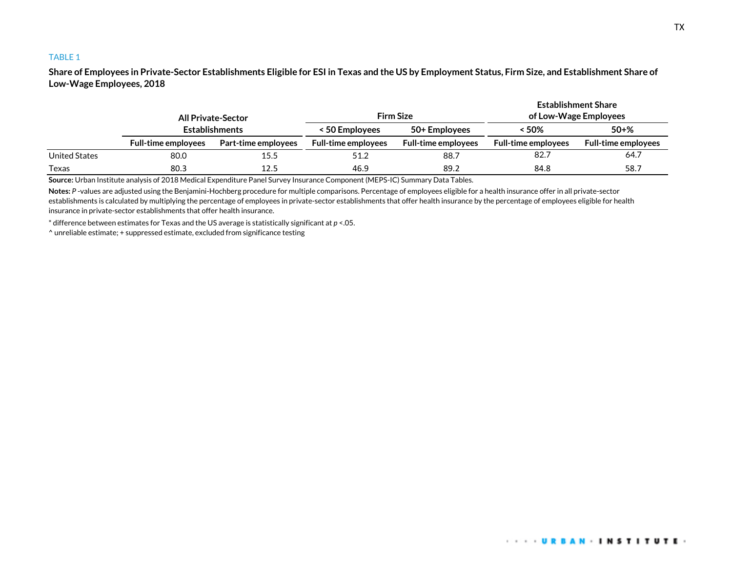**Share of Employees in Private-Sector Establishments Eligible for ESI in Texas and the US by Employment Status, Firm Size, and Establishment Share of Low-Wage Employees, 2018**

|               | <b>All Private-Sector</b><br><b>Establishments</b> |                     |                            | <b>Establishment Share</b><br><b>Firm Size</b><br>of Low-Wage Employees |                            |                            |
|---------------|----------------------------------------------------|---------------------|----------------------------|-------------------------------------------------------------------------|----------------------------|----------------------------|
|               |                                                    |                     | < 50 Employees             | 50+ Employees                                                           | < 50%                      | $50 + \%$                  |
|               | <b>Full-time employees</b>                         | Part-time employees | <b>Full-time employees</b> | <b>Full-time employees</b>                                              | <b>Full-time employees</b> | <b>Full-time employees</b> |
| United States | 80.0                                               | 15.5                | 51.2                       | 88.7                                                                    | 82.7                       | 64.7                       |
| Texas         | 80.3                                               | 12.5                | 46.9                       | 89.2                                                                    | 84.8                       | 58.7                       |

**Source:** Urban Institute analysis of 2018 Medical Expenditure Panel Survey Insurance Component (MEPS-IC) Summary Data Tables.

**Notes:** *P* -values are adjusted using the Benjamini-Hochberg procedure for multiple comparisons. Percentage of employees eligible for a health insurance offer in all private-sector establishments is calculated by multiplying the percentage of employees in private-sector establishments that offer health insurance by the percentage of employees eligible for health insurance in private-sector establishments that offer health insurance.

\* difference between estimates for Texas and the US average is statistically significant at *p* <.05.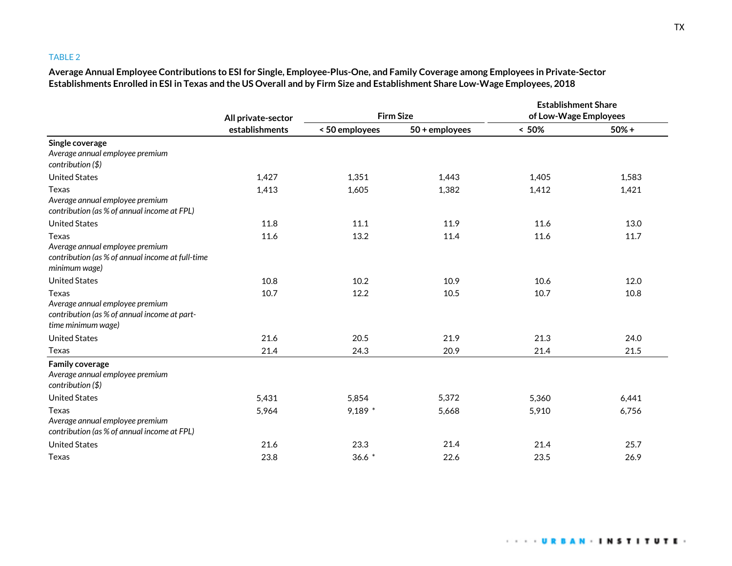**Average Annual Employee Contributions to ESI for Single, Employee-Plus-One, and Family Coverage among Employees in Private-Sector Establishments Enrolled in ESI in Texas and the US Overall and by Firm Size and Establishment Share Low-Wage Employees, 2018**

|                                                                                                                      | All private-sector | <b>Firm Size</b> |                | <b>Establishment Share</b><br>of Low-Wage Employees |         |
|----------------------------------------------------------------------------------------------------------------------|--------------------|------------------|----------------|-----------------------------------------------------|---------|
|                                                                                                                      | establishments     | < 50 employees   | 50 + employees | $~< 50\%$                                           | $50% +$ |
| Single coverage<br>Average annual employee premium<br>contribution $($ math>                                         |                    |                  |                |                                                     |         |
| <b>United States</b>                                                                                                 | 1,427              | 1,351            | 1,443          | 1,405                                               | 1,583   |
| Texas<br>Average annual employee premium<br>contribution (as % of annual income at FPL)                              | 1,413              | 1,605            | 1,382          | 1,412                                               | 1,421   |
| <b>United States</b>                                                                                                 | 11.8               | 11.1             | 11.9           | 11.6                                                | 13.0    |
| <b>Texas</b><br>Average annual employee premium<br>contribution (as % of annual income at full-time<br>minimum wage) | 11.6               | 13.2             | 11.4           | 11.6                                                | 11.7    |
| <b>United States</b>                                                                                                 | 10.8               | 10.2             | 10.9           | 10.6                                                | 12.0    |
| Texas<br>Average annual employee premium<br>contribution (as % of annual income at part-<br>time minimum wage)       | 10.7               | 12.2             | 10.5           | 10.7                                                | 10.8    |
| <b>United States</b>                                                                                                 | 21.6               | 20.5             | 21.9           | 21.3                                                | 24.0    |
| Texas                                                                                                                | 21.4               | 24.3             | 20.9           | 21.4                                                | 21.5    |
| <b>Family coverage</b><br>Average annual employee premium<br>contribution $(\$)$                                     |                    |                  |                |                                                     |         |
| <b>United States</b>                                                                                                 | 5,431              | 5,854            | 5,372          | 5,360                                               | 6,441   |
| Texas<br>Average annual employee premium<br>contribution (as % of annual income at FPL)                              | 5,964              | $9,189$ *        | 5,668          | 5,910                                               | 6,756   |
| <b>United States</b>                                                                                                 | 21.6               | 23.3             | 21.4           | 21.4                                                | 25.7    |
| Texas                                                                                                                | 23.8               | $36.6*$          | 22.6           | 23.5                                                | 26.9    |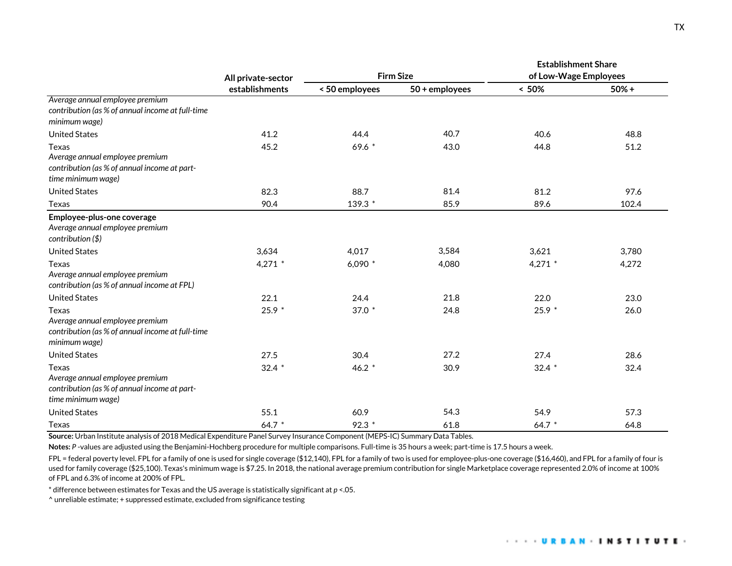|                                                                                                                       | All private-sector | <b>Firm Size</b> |                | <b>Establishment Share</b><br>of Low-Wage Employees |         |
|-----------------------------------------------------------------------------------------------------------------------|--------------------|------------------|----------------|-----------------------------------------------------|---------|
|                                                                                                                       | establishments     | < 50 employees   | 50 + employees | $< 50\%$                                            | $50% +$ |
| Average annual employee premium<br>contribution (as % of annual income at full-time<br>minimum wage)                  |                    |                  |                |                                                     |         |
| <b>United States</b>                                                                                                  | 41.2               | 44.4             | 40.7           | 40.6                                                | 48.8    |
| <b>Texas</b><br>Average annual employee premium<br>contribution (as % of annual income at part-<br>time minimum wage) | 45.2               | 69.6 $*$         | 43.0           | 44.8                                                | 51.2    |
| <b>United States</b>                                                                                                  | 82.3               | 88.7             | 81.4           | 81.2                                                | 97.6    |
| Texas                                                                                                                 | 90.4               | 139.3 *          | 85.9           | 89.6                                                | 102.4   |
| Employee-plus-one coverage<br>Average annual employee premium<br>contribution $($ math>                               |                    |                  |                |                                                     |         |
| <b>United States</b>                                                                                                  | 3,634              | 4,017            | 3,584          | 3,621                                               | 3,780   |
| Texas<br>Average annual employee premium<br>contribution (as % of annual income at FPL)                               | $4,271$ *          | 6,090 $*$        | 4,080          | $4,271$ *                                           | 4,272   |
| <b>United States</b>                                                                                                  | 22.1               | 24.4             | 21.8           | 22.0                                                | 23.0    |
| Texas<br>Average annual employee premium<br>contribution (as % of annual income at full-time<br>minimum wage)         | $25.9*$            | 37.0 *           | 24.8           | $25.9*$                                             | 26.0    |
| <b>United States</b>                                                                                                  | 27.5               | 30.4             | 27.2           | 27.4                                                | 28.6    |
| Texas<br>Average annual employee premium<br>contribution (as % of annual income at part-<br>time minimum wage)        | $32.4*$            | 46.2 $*$         | 30.9           | $32.4*$                                             | 32.4    |
| <b>United States</b>                                                                                                  | 55.1               | 60.9             | 54.3           | 54.9                                                | 57.3    |
| Texas                                                                                                                 | 64.7 *             | $92.3*$          | 61.8           | 64.7 *                                              | 64.8    |

**Source:** Urban Institute analysis of 2018 Medical Expenditure Panel Survey Insurance Component (MEPS-IC) Summary Data Tables.

Notes: P-values are adjusted using the Benjamini-Hochberg procedure for multiple comparisons. Full-time is 35 hours a week; part-time is 17.5 hours a week.

FPL = federal poverty level. FPL for a family of one is used for single coverage (\$12,140), FPL for a family of two is used for employee-plus-one coverage (\$16,460), and FPL for a family of four is used for family coverage (\$25,100). Texas's minimum wage is \$7.25. In 2018, the national average premium contribution for single Marketplace coverage represented 2.0% of income at 100% of FPL and 6.3% of income at 200% of FPL.

\* difference between estimates for Texas and the US average is statistically significant at *p* <.05.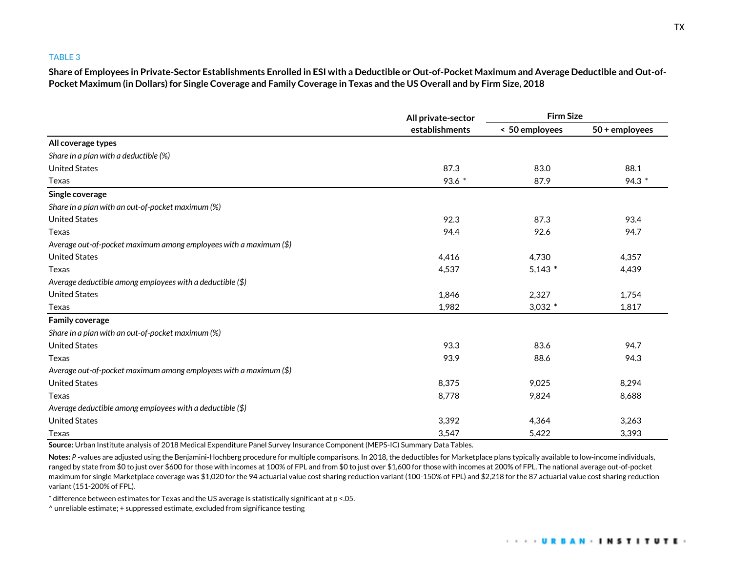**Share of Employees in Private-Sector Establishments Enrolled in ESI with a Deductible or Out-of-Pocket Maximum and Average Deductible and Out-of-Pocket Maximum (in Dollars) for Single Coverage and Family Coverage in Texas and the US Overall and by Firm Size, 2018**

|                                                                   | All private-sector<br>establishments | <b>Firm Size</b> |                  |  |
|-------------------------------------------------------------------|--------------------------------------|------------------|------------------|--|
|                                                                   |                                      | < 50 employees   | $50 +$ employees |  |
| All coverage types                                                |                                      |                  |                  |  |
| Share in a plan with a deductible (%)                             |                                      |                  |                  |  |
| <b>United States</b>                                              | 87.3                                 | 83.0             | 88.1             |  |
| Texas                                                             | 93.6 *                               | 87.9             | 94.3 *           |  |
| Single coverage                                                   |                                      |                  |                  |  |
| Share in a plan with an out-of-pocket maximum (%)                 |                                      |                  |                  |  |
| <b>United States</b>                                              | 92.3                                 | 87.3             | 93.4             |  |
| Texas                                                             | 94.4                                 | 92.6             | 94.7             |  |
| Average out-of-pocket maximum among employees with a maximum (\$) |                                      |                  |                  |  |
| <b>United States</b>                                              | 4,416                                | 4,730            | 4,357            |  |
| Texas                                                             | 4,537                                | $5,143$ *        | 4,439            |  |
| Average deductible among employees with a deductible $(\$)$       |                                      |                  |                  |  |
| <b>United States</b>                                              | 1,846                                | 2,327            | 1,754            |  |
| Texas                                                             | 1,982                                | $3,032$ *        | 1,817            |  |
| <b>Family coverage</b>                                            |                                      |                  |                  |  |
| Share in a plan with an out-of-pocket maximum (%)                 |                                      |                  |                  |  |
| <b>United States</b>                                              | 93.3                                 | 83.6             | 94.7             |  |
| Texas                                                             | 93.9                                 | 88.6             | 94.3             |  |
| Average out-of-pocket maximum among employees with a maximum (\$) |                                      |                  |                  |  |
| <b>United States</b>                                              | 8,375                                | 9,025            | 8,294            |  |
| Texas                                                             | 8,778                                | 9,824            | 8,688            |  |
| Average deductible among employees with a deductible $(\$)$       |                                      |                  |                  |  |
| <b>United States</b>                                              | 3,392                                | 4,364            | 3,263            |  |
| Texas                                                             | 3,547                                | 5,422            | 3,393            |  |

**Source:** Urban Institute analysis of 2018 Medical Expenditure Panel Survey Insurance Component (MEPS-IC) Summary Data Tables.

Notes: P-values are adjusted using the Benjamini-Hochberg procedure for multiple comparisons. In 2018, the deductibles for Marketplace plans typically available to low-income individuals, ranged by state from \$0 to just over \$600 for those with incomes at 100% of FPL and from \$0 to just over \$1,600 for those with incomes at 200% of FPL. The national average out-of-pocket maximum for single Marketplace coverage was \$1,020 for the 94 actuarial value cost sharing reduction variant (100-150% of FPL) and \$2,218 for the 87 actuarial value cost sharing reduction variant (151-200% of FPL).

\* difference between estimates for Texas and the US average is statistically significant at *p* <.05.